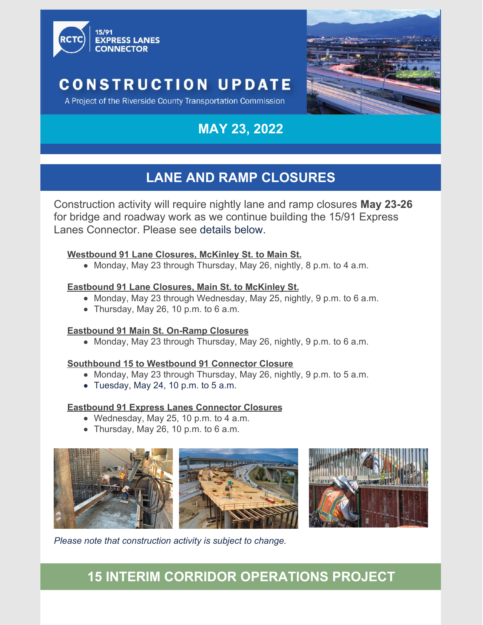

# **CONSTRUCTION UPDATE**

A Project of the Riverside County Transportation Commission

# **MAY 23, 2022**

# **LANE AND RAMP CLOSURES**

Construction activity will require nightly lane and ramp closures **May 23-26** for bridge and roadway work as we continue building the 15/91 Express Lanes Connector. Please see details below.

#### **Westbound 91 Lane Closures, McKinley St. to Main St.**

Monday, May 23 through Thursday, May 26, nightly, 8 p.m. to 4 a.m.

#### **Eastbound 91 Lane Closures, Main St. to McKinley St.**

- Monday, May 23 through Wednesday, May 25, nightly, 9 p.m. to 6 a.m.
- Thursday, May 26, 10 p.m. to 6 a.m.

#### **Eastbound 91 Main St. On-Ramp Closures**

Monday, May 23 through Thursday, May 26, nightly, 9 p.m. to 6 a.m.

#### **Southbound 15 to Westbound 91 Connector Closure**

- $\bullet$  Monday, May 23 through Thursday, May 26, nightly, 9 p.m. to 5 a.m.
- Tuesday, May 24, 10 p.m. to  $5$  a.m.

#### **Eastbound 91 Express Lanes Connector Closures**

- Wednesday, May 25, 10 p.m. to 4 a.m.
- Thursday, May 26, 10 p.m. to 6 a.m.





*Please note that construction activity is subject to change.*

### **15 INTERIM CORRIDOR OPERATIONS PROJECT**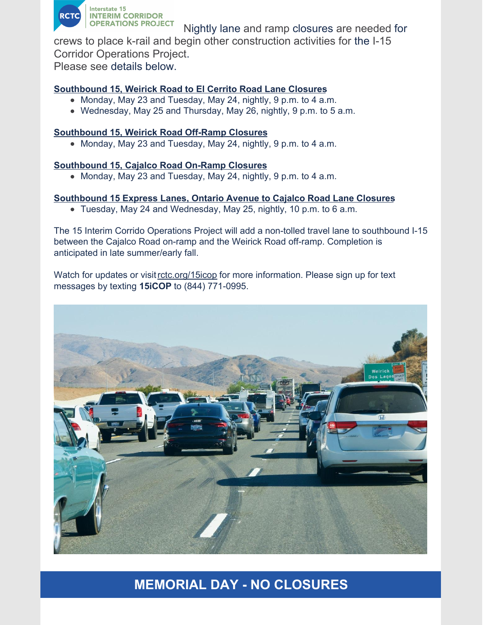

Nightly lane and ramp closures are needed for

crews to place k-rail and begin other construction activities for the I-15 Corridor Operations Project.

Please see details below.

#### **Southbound 15, Weirick Road to El Cerrito Road Lane Closures**

- Monday, May 23 and Tuesday, May 24, nightly, 9 p.m. to 4 a.m.
- Wednesday, May 25 and Thursday, May 26, nightly, 9 p.m. to 5 a.m.

#### **Southbound 15, Weirick Road Off-Ramp Closures**

• Monday, May 23 and Tuesday, May 24, nightly, 9 p.m. to 4 a.m.

#### **Southbound 15, Cajalco Road On-Ramp Closures**

• Monday, May 23 and Tuesday, May 24, nightly, 9 p.m. to 4 a.m.

#### **Southbound 15 Express Lanes, Ontario Avenue to Cajalco Road Lane Closures**

Tuesday, May 24 and Wednesday, May 25, nightly, 10 p.m. to 6 a.m.

The 15 Interim Corrido Operations Project will add a non-tolled travel lane to southbound I-15 between the Cajalco Road on-ramp and the Weirick Road off-ramp. Completion is anticipated in late summer/early fall.

Watch for updates or visit [rctc.org/15icop](https://nam10.safelinks.protection.outlook.com/?url=https%3A%2F%2Fwww.rctc.org%2F15icop&data=04%7C01%7CMichelle.Kennedy%40trccompanies.com%7C09fb53344ed844b6af0408da02d67b71%7C543eaf7b7e0d4076a34d1fc8cc20e5bb%7C0%7C1%7C637825417479891339%7CUnknown%7CTWFpbGZsb3d8eyJWIjoiMC4wLjAwMDAiLCJQIjoiV2luMzIiLCJBTiI6Ik1haWwiLCJXVCI6Mn0%3D%7C3000&sdata=NmT9KXjd2TooCenzUXIbY%2FMbOFVmioiDX2X3wPHGgTw%3D&reserved=0) for more information. Please sign up for text messages by texting **15iCOP** to (844) 771-0995.



### **MEMORIAL DAY - NO CLOSURES**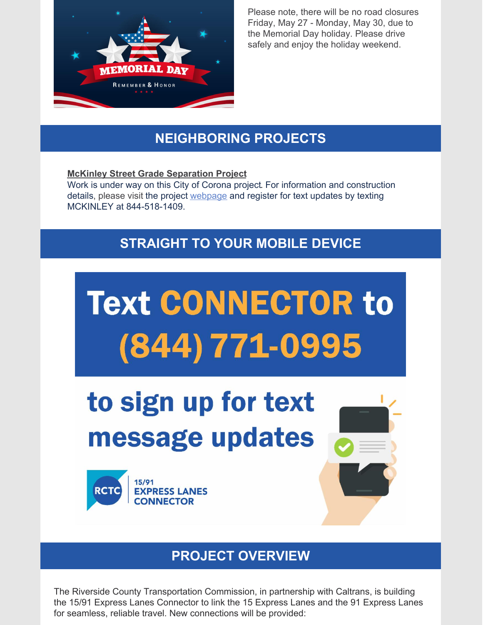

Please note, there will be no road closures Friday, May 27 - Monday, May 30, due to the Memorial Day holiday. Please drive safely and enjoy the holiday weekend.

# **NEIGHBORING PROJECTS**

#### **McKinley Street Grade Separation Project**

Work is under way on this City of Corona project. For information and construction details, please visit the project [webpage](https://nam10.safelinks.protection.outlook.com/?url=https%3A%2F%2Fwww.coronaca.gov%2Fgovernment%2Fdepartments-divisions%2Fpublic-works%2Fconstruction-projects%2Fmckinley-grade-separation&data=05%7C01%7CMichelle.Kennedy%40trccompanies.com%7Ce2fd90beaa9142b45add08da345e730a%7C543eaf7b7e0d4076a34d1fc8cc20e5bb%7C0%7C0%7C637879877530735410%7CUnknown%7CTWFpbGZsb3d8eyJWIjoiMC4wLjAwMDAiLCJQIjoiV2luMzIiLCJBTiI6Ik1haWwiLCJXVCI6Mn0%3D%7C3000%7C%7C%7C&sdata=DEySfnHQykIkOrYxEZ9GJKd8%2F3Kqz4gMxzWPh9jUaKQ%3D&reserved=0) and register for text updates by texting MCKINLEY at 844-518-1409.

## **STRAIGHT TO YOUR MOBILE DEVICE**



### **PROJECT OVERVIEW**

The Riverside County Transportation Commission, in partnership with Caltrans, is building the 15/91 Express Lanes Connector to link the 15 Express Lanes and the 91 Express Lanes for seamless, reliable travel. New connections will be provided: